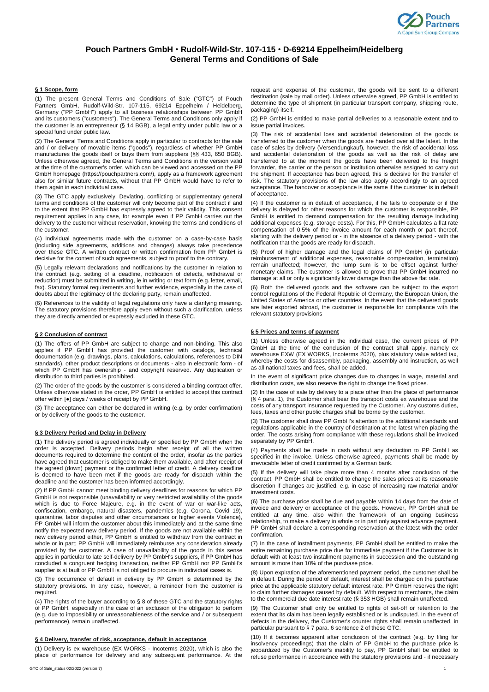

# **Pouch Partners GmbH** • **Rudolf-Wild-Str. 107-115** • **D-69214 Eppelheim/Heidelberg General Terms and Conditions of Sale**

# **§ 1 Scope, form**

(1) The present General Terms and Conditions of Sale ("GTC") of Pouch Partners GmbH, Rudolf-Wild-Str. 107-115, 69214 Eppelheim / Heidelberg, Germany ("PP GmbH") apply to all business relationships between PP GmbH and its customers ("customers"). The General Terms and Conditions only apply if the customer is an entrepreneur (§ 14 BGB), a legal entity under public law or a special fund under public law.

(2) The General Terms and Conditions apply in particular to contracts for the sale and / or delivery of movable items ("goods"), regardless of whether PP GmbH manufactures the goods itself or buys them from suppliers (§§ 433, 650 BGB). Unless otherwise agreed, the General Terms and Conditions in the version valid at the time of the customer's order, which can be viewed and accessed on the PP GmbH homepage (https://pouchpartners.com/), apply as a framework agreement also for similar future contracts, without that PP GmbH would have to refer to them again in each individual case.

(3) The GTC apply exclusively. Deviating, conflicting or supplementary general terms and conditions of the customer will only become part of the contract if and to the extent that PP GmbH has expressly agreed to their validity. This consent requirement applies in any case, for example even if PP GmbH carries out the delivery to the customer without reservation, knowing the terms and conditions of the customer.

(4) Individual agreements made with the customer on a case-by-case basis (including side agreements, additions and changes) always take precedence over these GTC. A written contract or written confirmation from PP GmbH is decisive for the content of such agreements, subject to proof to the contrary.

(5) Legally relevant declarations and notifications by the customer in relation to the contract (e.g. setting of a deadline, notification of defects, withdrawal or reduction) must be submitted in writing, ie in writing or text form (e.g. letter, email, fax). Statutory formal requirements and further evidence, especially in the case of doubts about the legitimacy of the declaring party, remain unaffected.

(6) References to the validity of legal regulations only have a clarifying meaning. The statutory provisions therefore apply even without such a clarification, unless they are directly amended or expressly excluded in these GTC.

#### **§ 2 Conclusion of contract**

(1) The offers of PP GmbH are subject to change and non-binding. This also applies if PP GmbH has provided the customer with catalogs, technical documentation (e.g. drawings, plans, calculations, calculations, references to DIN standards), other product descriptions or documents - also in electronic form - of which PP GmbH has ownership - and copyright reserved. Any duplication or distribution to third parties is prohibited.

(2) The order of the goods by the customer is considered a binding contract offer. Unless otherwise stated in the order, PP GmbH is entitled to accept this contract offer within [●] days / weeks of receipt by PP GmbH.

(3) The acceptance can either be declared in writing (e.g. by order confirmation) or by delivery of the goods to the customer.

## **§ 3 Delivery Period and Delay in Delivery**

(1) The delivery period is agreed individually or specified by PP GmbH when the order is accepted. Delivery periods begin after receipt of all the written documents required to determine the content of the order, insofar as the parties have agreed that customer is obliged to make them available, and after receipt of the agreed (down) payment or the confirmed letter of credit. A delivery deadline is deemed to have been met if the goods are ready for dispatch within the deadline and the customer has been informed accordingly.

(2) If PP GmbH cannot meet binding delivery deadlines for reasons for which PP GmbH is not responsible (unavailability or very restricted availability of the goods which is due to Force Majeure, e.g. in the event of war or war-like acts, confiscation, embargo, natural disasters, pandemics (e.g. Corona, Covid 19), quarantine, labor disputes and other circumstances or higher events Violence), PP GmbH will inform the customer about this immediately and at the same time notify the expected new delivery period. If the goods are not available within the new delivery period either, PP GmbH is entitled to withdraw from the contract in whole or in part; PP GmbH will immediately reimburse any consideration already provided by the customer. A case of unavailability of the goods in this sense applies in particular to late self-delivery by PP GmbH's suppliers, if PP GmbH has concluded a congruent hedging transaction, neither PP GmbH nor PP GmbH's supplier is at fault or PP GmbH is not obliged to procure in individual cases is.

(3) The occurrence of default in delivery by PP GmbH is determined by the statutory provisions. In any case, however, a reminder from the customer is required.

(4) The rights of the buyer according to § 8 of these GTC and the statutory rights of PP GmbH, especially in the case of an exclusion of the obligation to perform (e.g. due to impossibility or unreasonableness of the service and / or subsequent performance), remain unaffected.

# **§ 4 Delivery, transfer of risk, acceptance, default in acceptance**

(1) Delivery is ex warehouse (EX WORKS - Incoterms 2020), which is also the place of performance for delivery and any subsequent performance. At the

request and expense of the customer, the goods will be sent to a different destination (sale by mail order). Unless otherwise agreed, PP GmbH is entitled to determine the type of shipment (in particular transport company, shipping route, packaging) itself.

(2) PP GmbH is entitled to make partial deliveries to a reasonable extent and to issue partial invoices.

(3) The risk of accidental loss and accidental deterioration of the goods is transferred to the customer when the goods are handed over at the latest. In the case of sales by delivery (Versendungkauf), however, the risk of accidental loss and accidental deterioration of the goods as well as the risk of delay are transferred to at the moment the goods have been delivered to the freight forwarder, the carrier or the person or institution otherwise assigned to carry out the shipment. If acceptance has been agreed, this is decisive for the transfer of risk. The statutory provisions of the law also apply accordingly to an agreed acceptance. The handover or acceptance is the same if the customer is in default of acceptance.

(4) If the customer is in default of acceptance, if he fails to cooperate or if the delivery is delayed for other reasons for which the customer is responsible, PP GmbH is entitled to demand compensation for the resulting damage including additional expenses (e.g. storage costs). For this, PP GmbH calculates a flat rate compensation of 0.5% of the invoice amount for each month or part thereof, starting with the delivery period or - in the absence of a delivery period - with the notification that the goods are ready for dispatch.

(5) Proof of higher damage and the legal claims of PP GmbH (in particular reimbursement of additional expenses, reasonable compensation, termination) remain unaffected; however, the lump sum is to be offset against further monetary claims. The customer is allowed to prove that PP GmbH incurred no damage at all or only a significantly lower damage than the above flat rate.

(6) Both the delivered goods and the software can be subject to the export control regulations of the Federal Republic of Germany, the European Union, the United States of America or other countries. In the event that the delivered goods are later exported abroad, the customer is responsible for compliance with the relevant statutory provisions

## **§ 5 Prices and terms of payment**

(1) Unless otherwise agreed in the individual case, the current prices of PP GmbH at the time of the conclusion of the contract shall apply, namely ex warehouse EXW (EX WORKS, Incoterms 2020), plus statutory value added tax, whereby the costs for disassembly, packaging, assembly and instruction, as well as all national taxes and fees, shall be added.

In the event of significant price changes due to changes in wage, material and distribution costs, we also reserve the right to change the fixed prices.

(2) In the case of sale by delivery to a place other than the place of performance (§ 4 para. 1), the Customer shall bear the transport costs ex warehouse and the costs of any transport insurance requested by the Customer. Any customs duties, fees, taxes and other public charges shall be borne by the customer.

(3) The customer shall draw PP GmbH's attention to the additional standards and regulations applicable in the country of destination at the latest when placing the order. The costs arising from compliance with these regulations shall be invoiced separately by PP GmbH.

(4) Payments shall be made in cash without any deduction to PP GmbH as specified in the invoice. Unless otherwise agreed, payments shall be made by irrevocable letter of credit confirmed by a German bank.

(5) If the delivery will take place more than 4 months after conclusion of the contract, PP GmbH shall be entitled to change the sales prices at its reasonable discretion if changes are justified, e.g. in case of increasing raw material and/or investment costs.

(6) The purchase price shall be due and payable within 14 days from the date of invoice and delivery or acceptance of the goods. However, PP GmbH shall be entitled at any time, also within the framework of an ongoing business relationship, to make a delivery in whole or in part only against advance payment. PP GmbH shall declare a corresponding reservation at the latest with the order confirmation.

(7) In the case of installment payments, PP GmbH shall be entitled to make the entire remaining purchase price due for immediate payment if the Customer is in default with at least two installment payments in succession and the outstanding amount is more than 10% of the purchase price.

(8) Upon expiration of the aforementioned payment period, the customer shall be in default. During the period of default, interest shall be charged on the purchase price at the applicable statutory default interest rate. PP GmbH reserves the right to claim further damages caused by default. With respect to merchants, the claim to the commercial due date interest rate (§ 353 HGB) shall remain unaffected.

(9) The Customer shall only be entitled to rights of set-off or retention to the extent that its claim has been legally established or is undisputed. In the event of defects in the delivery, the Customer's counter rights shall remain unaffected, in particular pursuant to § 7 para. 6 sentence 2 of these GTC.

(10) If it becomes apparent after conclusion of the contract (e.g. by filing for insolvency proceedings) that the claim of PP GmbH to the purchase price is jeopardized by the Customer's inability to pay, PP GmbH shall be entitled to refuse performance in accordance with the statutory provisions and - if necessary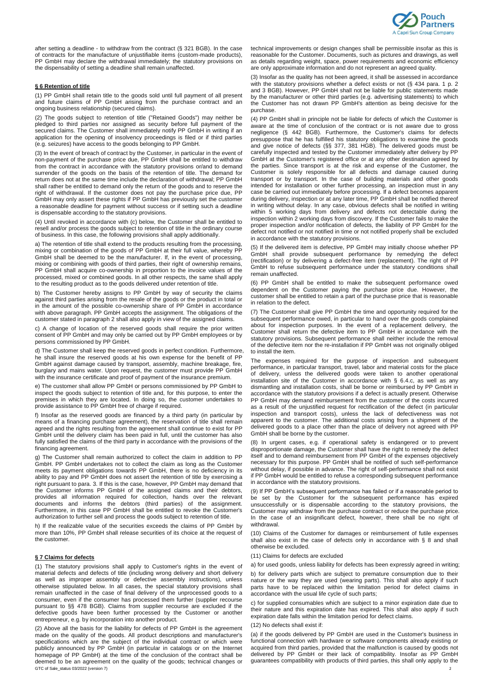

after setting a deadline - to withdraw from the contract (§ 321 BGB). In the case of contracts for the manufacture of unjustifiable items (custom-made products), PP GmbH may declare the withdrawal immediately; the statutory provisions on the dispensability of setting a deadline shall remain unaffected.

#### **§ 6 Retention of title**

(1) PP GmbH shall retain title to the goods sold until full payment of all present and future claims of PP GmbH arising from the purchase contract and an ongoing business relationship (secured claims).

(2) The goods subject to retention of title ("Retained Goods") may neither be pledged to third parties nor assigned as security before full payment of the secured claims. The Customer shall immediately notify PP GmbH in writing if an application for the opening of insolvency proceedings is filed or if third parties (e.g. seizures) have access to the goods belonging to PP GmbH.

(3) In the event of breach of contract by the Customer, in particular in the event of non-payment of the purchase price due, PP GmbH shall be entitled to withdraw from the contract in accordance with the statutory provisions or/and to demand surrender of the goods on the basis of the retention of title. The demand for return does not at the same time include the declaration of withdrawal; PP GmbH shall rather be entitled to demand only the return of the goods and to reserve the right of withdrawal. If the customer does not pay the purchase price due, PP GmbH may only assert these rights if PP GmbH has previously set the customer a reasonable deadline for payment without success or if setting such a deadline is dispensable according to the statutory provisions.

(4) Until revoked in accordance with (c) below, the Customer shall be entitled to resell and/or process the goods subject to retention of title in the ordinary course of business. In this case, the following provisions shall apply additionally.

a) The retention of title shall extend to the products resulting from the processing, mixing or combination of the goods of PP GmbH at their full value, whereby PP GmbH shall be deemed to be the manufacturer. If, in the event of processing, mixing or combining with goods of third parties, their right of ownership remains, PP GmbH shall acquire co-ownership in proportion to the invoice values of the processed, mixed or combined goods. In all other respects, the same shall apply to the resulting product as to the goods delivered under retention of title.

b) The Customer hereby assigns to PP GmbH by way of security the claims against third parties arising from the resale of the goods or the product in total or in the amount of the possible co-ownership share of PP GmbH in accordance with above paragraph. PP GmbH accepts the assignment. The obligations of the customer stated in paragraph 2 shall also apply in view of the assigned claims.

c) A change of location of the reserved goods shall require the prior written consent of PP GmbH and may only be carried out by PP GmbH employees or by persons commissioned by PP GmbH.

d) The Customer shall keep the reserved goods in perfect condition. Furthermore, he shall insure the reserved goods at his own expense for the benefit of PP GmbH against damage caused by transport, assembly, machine breakage, fire, burglary and mains water. Upon request, the customer must provide PP GmbH with the insurance certificate and proof of payment of the insurance premium.

e) The customer shall allow PP GmbH or persons commissioned by PP GmbH to inspect the goods subject to retention of title and, for this purpose, to enter the premises in which they are located. In doing so, the customer undertakes to provide assistance to PP GmbH free of charge if required.

f) Insofar as the reserved goods are financed by a third party (in particular by means of a financing purchase agreement), the reservation of title shall remain agreed and the rights resulting from the agreement shall continue to exist for PP GmbH until the delivery claim has been paid in full, until the customer has also fully satisfied the claims of the third party in accordance with the provisions of the financing agreement.

g) The Customer shall remain authorized to collect the claim in addition to PP GmbH. PP GmbH undertakes not to collect the claim as long as the Customer meets its payment obligations towards PP GmbH, there is no deficiency in its ability to pay and PP GmbH does not assert the retention of title by exercising a right pursuant to para. 3. If this is the case, however, PP GmbH may demand that the Customer informs PP GmbH of the assigned claims and their debtors, provides all information required for collection, hands over the relevant documents and informs the debtors (third parties) of the assignment. Furthermore, in this case PP GmbH shall be entitled to revoke the Customer's authorization to further sell and process the goods subject to retention of title.

h) If the realizable value of the securities exceeds the claims of PP GmbH by more than 10%, PP GmbH shall release securities of its choice at the request of the customer.

#### **§ 7 Claims for defects**

(1) The statutory provisions shall apply to Customer's rights in the event of material defects and defects of title (including wrong delivery and short delivery as well as improper assembly or defective assembly instructions), unless otherwise stipulated below. In all cases, the special statutory provisions shall remain unaffected in the case of final delivery of the unprocessed goods to a consumer, even if the consumer has processed them further (supplier recourse pursuant to §§ 478 BGB). Claims from supplier recourse are excluded if the defective goods have been further processed by the Customer or another entrepreneur, e.g. by incorporation into another product.

GTC of Sale\_status 03/2022 (version 7) (2) Above all the basis for the liability for defects of PP GmbH is the agreement made on the quality of the goods. All product descriptions and manufacturer's specifications which are the subject of the individual contract or which were publicly announced by PP GmbH (in particular in catalogs or on the Internet homepage of PP GmbH) at the time of the conclusion of the contract shall be deemed to be an agreement on the quality of the goods; technical changes or technical improvements or design changes shall be permissible insofar as this is reasonable for the Customer. Documents, such as pictures and drawings, as well as details regarding weight, space, power requirements and economic efficiency are only approximate information and do not represent an agreed quality.

(3) Insofar as the quality has not been agreed, it shall be assessed in accordance with the statutory provisions whether a defect exists or not (§ 434 para. 1 p. 2 and 3 BGB). However, PP GmbH shall not be liable for public statements made by the manufacturer or other third parties (e.g. advertising statements) to which the Customer has not drawn PP GmbH's attention as being decisive for the purchase.

(4) PP GmbH shall in principle not be liable for defects of which the Customer is aware at the time of conclusion of the contract or is not aware due to gross negligence (§ 442 BGB). Furthermore, the Customer's claims for defects presuppose that he has fulfilled his statutory obligations to examine the goods and give notice of defects (§§ 377, 381 HGB). The delivered goods must be carefully inspected and tested by the Customer immediately after delivery by PP GmbH at the Customer's registered office or at any other destination agreed by the parties. Since transport is at the risk and expense of the Customer, the Customer is solely responsible for all defects and damage caused during transport or by transport. In the case of building materials and other goods intended for installation or other further processing, an inspection must in any case be carried out immediately before processing. If a defect becomes apparent during delivery, inspection or at any later time, PP GmbH shall be notified thereof in writing without delay. In any case, obvious defects shall be notified in writing within 5 working days from delivery and defects not detectable during the inspection within 2 working days from discovery. If the Customer fails to make the proper inspection and/or notification of defects, the liability of PP GmbH for the defect not notified or not notified in time or not notified properly shall be excluded in accordance with the statutory provisions.

(5) If the delivered item is defective, PP GmbH may initially choose whether PP GmbH shall provide subsequent performance by remedying the defect (rectification) or by delivering a defect-free item (replacement). The right of PP GmbH to refuse subsequent performance under the statutory conditions shall remain unaffected.

(6) PP GmbH shall be entitled to make the subsequent performance owed dependent on the Customer paying the purchase price due. However, the customer shall be entitled to retain a part of the purchase price that is reasonable in relation to the defect.

(7) The Customer shall give PP GmbH the time and opportunity required for the subsequent performance owed, in particular to hand over the goods complained about for inspection purposes. In the event of a replacement delivery, the Customer shall return the defective item to PP GmbH in accordance with the statutory provisions. Subsequent performance shall neither include the removal of the defective item nor the re-installation if PP GmbH was not originally obliged to install the item.

The expenses required for the purpose of inspection and subsequent performance, in particular transport, travel, labor and material costs for the place of delivery, unless the delivered goods were taken to another operational installation site of the Customer in accordance with § 6.4.c, as well as any dismantling and installation costs, shall be borne or reimbursed by PP GmbH in accordance with the statutory provisions if a defect is actually present. Otherwise PP GmbH may demand reimbursement from the customer of the costs incurred as a result of the unjustified request for rectification of the defect (in particular inspection and transport costs), unless the lack of defectiveness was not apparent to the customer. The additional costs arising from a shipment of the delivered goods to a place other than the place of delivery not agreed with PP GmbH shall be borne by the customer.

(8) In urgent cases, e.g. if operational safety is endangered or to prevent disproportionate damage, the Customer shall have the right to remedy the defect itself and to demand reimbursement from PP GmbH of the expenses objectively necessary for this purpose. PP GmbH shall be notified of such self-performance without delay, if possible in advance. The right of self-performance shall not exist if PP GmbH would be entitled to refuse a corresponding subsequent performance in accordance with the statutory provisions.

(9) If PP GmbH's subsequent performance has failed or if a reasonable period to be set by the Customer for the subsequent performance has expired unsuccessfully or is dispensable according to the statutory provisions, the Customer may withdraw from the purchase contract or reduce the purchase price. In the case of an insignificant defect, however, there shall be no right of withdrawal.

(10) Claims of the Customer for damages or reimbursement of futile expenses shall also exist in the case of defects only in accordance with § 8 and shall otherwise be excluded.

#### (11) Claims for defects are excluded

a) for used goods, unless liability for defects has been expressly agreed in writing;

b) for delivery parts which are subject to premature consumption due to their nature or the way they are used (wearing parts). This shall also apply if such parts have to be replaced within the limitation period for defect claims in accordance with the usual life cycle of such parts;

c) for supplied consumables which are subject to a minor expiration date due to their nature and this expiration date has expired. This shall also apply if such expiration date falls within the limitation period for defect claims.

## (12) No defects shall exist if:

(a) if the goods delivered by PP GmbH are used in the Customer's business in functional connection with hardware or software components already existing or acquired from third parties, provided that the malfunction is caused by goods not delivered by PP GmbH or their lack of compatibility. Insofar as PP GmbH guarantees compatibility with products of third parties, this shall only apply to the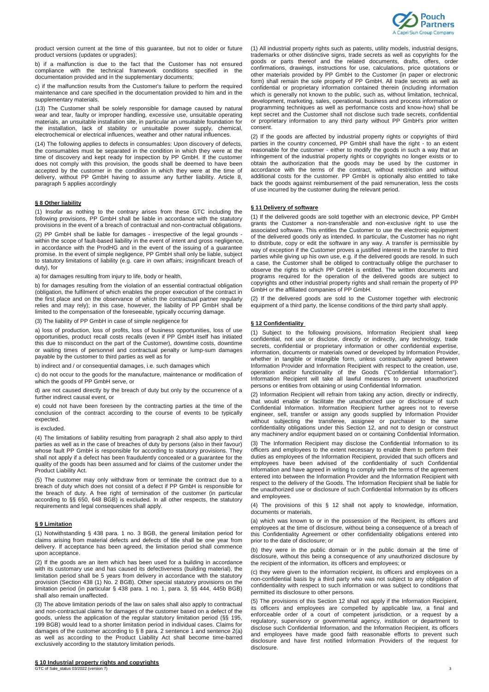

product version current at the time of this guarantee, but not to older or future product versions (updates or upgrades);

b) if a malfunction is due to the fact that the Customer has not ensured compliance with the technical framework conditions specified in the documentation provided and in the supplementary documents;

c) if the malfunction results from the Customer's failure to perform the required maintenance and care specified in the documentation provided to him and in the supplementary materials.

(13) The Customer shall be solely responsible for damage caused by natural wear and tear, faulty or improper handling, excessive use, unsuitable operating materials, an unsuitable installation site, in particular an unsuitable foundation for the installation, lack of stability or unsuitable power supply, chemical, electrochemical or electrical influences, weather and other natural influences.

(14) The following applies to defects in consumables: Upon discovery of defects, the consumables must be separated in the condition in which they were at the time of discovery and kept ready for inspection by PP GmbH. If the customer does not comply with this provision, the goods shall be deemed to have been accepted by the customer in the condition in which they were at the time of delivery, without PP GmbH having to assume any further liability. Article 8, paragraph 5 applies accordingly

## **§ 8 Other liability**

(1) Insofar as nothing to the contrary arises from these GTC including the following provisions, PP GmbH shall be liable in accordance with the statutory provisions in the event of a breach of contractual and non-contractual obligations.

(2) PP GmbH shall be liable for damages - irrespective of the legal grounds within the scope of fault-based liability in the event of intent and gross negligence, in accordance with the ProdHG and in the event of the issuing of a guarantee promise. In the event of simple negligence, PP GmbH shall only be liable, subject to statutory limitations of liability (e.g. care in own affairs; insignificant breach of duty), for

a) for damages resulting from injury to life, body or health,

b) for damages resulting from the violation of an essential contractual obligation (obligation, the fulfilment of which enables the proper execution of the contract in the first place and on the observance of which the contractual partner regularly relies and may rely); in this case, however, the liability of PP GmbH shall be limited to the compensation of the foreseeable, typically occurring damage.

(3) The liability of PP GmbH in case of simple negligence for

a) loss of production, loss of profits, loss of business opportunities, loss of use opportunities, product recall costs recalls (even if PP GmbH itself has initiated this due to misconduct on the part of the Customer), downtime costs, downtime or waiting times of personnel and contractual penalty or lump-sum damages payable by the customer to third parties as well as for

b) indirect and / or consequential damages, i.e. such damages which

c) do not occur to the goods for the manufacture, maintenance or modification of which the goods of PP GmbH serve, or

d) are not caused directly by the breach of duty but only by the occurrence of a further indirect causal event, or

e) could not have been foreseen by the contracting parties at the time of the conclusion of the contract according to the course of events to be typically expected.

#### is excluded.

(4) The limitations of liability resulting from paragraph 2 shall also apply to third parties as well as in the case of breaches of duty by persons (also in their favour) whose fault PP GmbH is responsible for according to statutory provisions. They shall not apply if a defect has been fraudulently concealed or a guarantee for the quality of the goods has been assumed and for claims of the customer under the Product Liability Act.

(5) The customer may only withdraw from or terminate the contract due to a breach of duty which does not consist of a defect if PP GmbH is responsible for the breach of duty. A free right of termination of the customer (in particular according to §§ 650, 648 BGB) is excluded. In all other respects, the statutory requirements and legal consequences shall apply.

# **§ 9 Limitation**

(1) Notwithstanding § 438 para. 1 no. 3 BGB, the general limitation period for claims arising from material defects and defects of title shall be one year from delivery. If acceptance has been agreed, the limitation period shall commence upon acceptance.

(2) If the goods are an item which has been used for a building in accordance with its customary use and has caused its defectiveness (building material), the limitation period shall be 5 years from delivery in accordance with the statutory provision (Section 438 (1) No. 2 BGB). Other special statutory provisions on the limitation period (in particular § 438 para. 1 no. 1, para. 3, §§ 444, 445b BGB) shall also remain unaffected.

(3) The above limitation periods of the law on sales shall also apply to contractual and non-contractual claims for damages of the customer based on a defect of the goods, unless the application of the regular statutory limitation period (§§ 195, 199 BGB) would lead to a shorter limitation period in individual cases. Claims for damages of the customer according to § 8 para. 2 sentence 1 and sentence 2(a) as well as according to the Product Liability Act shall become time-barred exclusively according to the statutory limitation periods.

GTC of Sale\_status 03/2022 (version 7) 3

(1) All industrial property rights such as patents, utility models, industrial designs, trademarks or other distinctive signs, trade secrets as well as copyrights for the goods or parts thereof and the related documents, drafts, offers, order confirmations, drawings, instructions for use, calculations, price quotations or other materials provided by PP GmbH to the Customer (in paper or electronic form) shall remain the sole property of PP GmbH. All trade secrets as well as confidential or proprietary information contained therein (including information which is generally not known to the public, such as, without limitation, technical, development, marketing, sales, operational, business and process information or programming techniques as well as performance costs and know-how) shall be kept secret and the Customer shall not disclose such trade secrets, confidential or proprietary information to any third party without PP GmbH's prior written consent.

(2) If the goods are affected by industrial property rights or copyrights of third parties in the country concerned, PP GmbH shall have the right - to an extent reasonable for the customer - either to modify the goods in such a way that an infringement of the industrial property rights or copyrights no longer exists or to obtain the authorization that the goods may be used by the customer in accordance with the terms of the contract, without restriction and without additional costs for the customer. PP GmbH is optionally also entitled to take back the goods against reimbursement of the paid remuneration, less the costs of use incurred by the customer during the relevant period.

## **§ 11 Delivery of software**

(1) If the delivered goods are sold together with an electronic device, PP GmbH grants the Customer a non-transferable and non-exclusive right to use the associated software. This entitles the Customer to use the electronic equipment of the delivered goods only as intended. In particular, the Customer has no right to distribute, copy or edit the software in any way. A transfer is permissible by way of exception if the Customer proves a justified interest in the transfer to third parties while giving up his own use, e.g. if the delivered goods are resold. In such a case, the Customer shall be obliged to contractually oblige the purchaser to observe the rights to which PP GmbH is entitled. The written documents and programs required for the operation of the delivered goods are subject to copyrights and other industrial property rights and shall remain the property of PP GmbH or the affiliated companies of PP GmbH.

(2) If the delivered goods are sold to the Customer together with electronic equipment of a third party, the license conditions of the third party shall apply.

#### **§ 12 Confidentiality**

(1) Subject to the following provisions, Information Recipient shall keep confidential, not use or disclose, directly or indirectly, any technology, trade secrets, confidential or proprietary information or other confidential expertise, information, documents or materials owned or developed by Information Provider, whether in tangible or intangible form, unless contractually agreed between Information Provider and Information Recipient with respect to the creation, use, operation and/or functionality of the Goods ("Confidential Information"). Information Recipient will take all lawful measures to prevent unauthorized persons or entities from obtaining or using Confidential Information.

(2) Information Recipient will refrain from taking any action, directly or indirectly, that would enable or facilitate the unauthorized use or disclosure of such Confidential Information. Information Recipient further agrees not to reverse engineer, sell, transfer or assign any goods supplied by Information Provider without subjecting the transferee, assignee or purchaser to the same confidentiality obligations under this Section 12, and not to design or construct any machinery and/or equipment based on or containing Confidential Information.

(3) The Information Recipient may disclose the Confidential Information to its officers and employees to the extent necessary to enable them to perform their duties as employees of the Information Recipient, provided that such officers and employees have been advised of the confidentiality of such Confidential Information and have agreed in writing to comply with the terms of the agreement entered into between the Information Provider and the Information Recipient with respect to the delivery of the Goods. The Information Recipient shall be liable for the unauthorized use or disclosure of such Confidential Information by its officers and employees.

(4) The provisions of this § 12 shall not apply to knowledge, information, documents or materials,

(a) which was known to or in the possession of the Recipient, its officers and employees at the time of disclosure, without being a consequence of a breach of this Confidentiality Agreement or other confidentiality obligations entered into prior to the date of disclosure; or

(b) they were in the public domain or in the public domain at the time of disclosure, without this being a consequence of any unauthorized disclosure by the recipient of the information, its officers and employees; or

(c) they were given to the information recipient, its officers and employees on a non-confidential basis by a third party who was not subject to any obligation of confidentiality with respect to such information or was subject to conditions that permitted its disclosure to other persons.

(5) The provisions of this Section 12 shall not apply if the Information Recipient, its officers and employees are compelled by applicable law, a final and enforceable order of a court of competent jurisdiction, or a request by a regulatory, supervisory or governmental agency, institution or department to disclose such Confidential Information, and the Information Recipient, its officers and employees have made good faith reasonable efforts to prevent such disclosure and have first notified Information Providers of the request for disclosure.